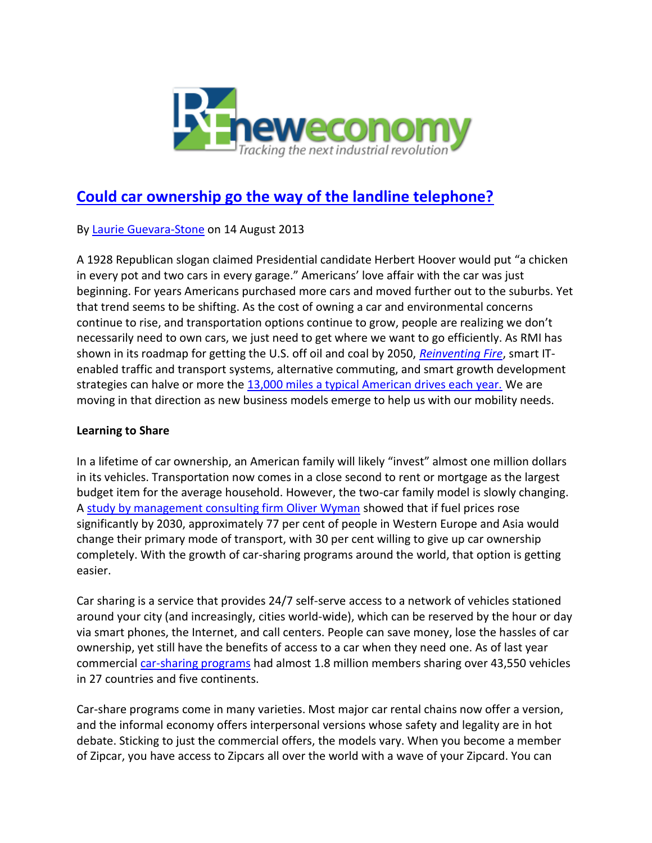

## **[Could car ownership go the way of the landline telephone?](http://reneweconomy.com.au/2013/could-car-ownership-go-the-way-of-the-landline-telephone-96787)**

By [Laurie Guevara-Stone](http://reneweconomy.com.au/author/laurie-guevara-stone) on 14 August 2013

A 1928 Republican slogan claimed Presidential candidate Herbert Hoover would put "a chicken in every pot and two cars in every garage." Americans' love affair with the car was just beginning. For years Americans purchased more cars and moved further out to the suburbs. Yet that trend seems to be shifting. As the cost of owning a car and environmental concerns continue to rise, and transportation options continue to grow, people are realizing we don't necessarily need to own cars, we just need to get where we want to go efficiently. As RMI has shown in its roadmap for getting the U.S. off oil and coal by 2050, *[Reinventing Fire](http://www.reinventingfire.com/)*, smart ITenabled traffic and transport systems, alternative commuting, and smart growth development strategies can halve or more the [13,000 miles a typical American drives each year.](http://www.rmi.org/RFGraph-US_vehicle_miles_traveled) We are moving in that direction as new business models emerge to help us with our mobility needs.

## **Learning to Share**

In a lifetime of car ownership, an American family will likely "invest" almost one million dollars in its vehicles. Transportation now comes in a close second to rent or mortgage as the largest budget item for the average household. However, the two-car family model is slowly changing. A [study by management consulting firm Oliver Wyman](http://www.oliverwyman.com/media/OW_EN_MTE_PRESS_2012_Changing_Mobility.pdf) showed that if fuel prices rose significantly by 2030, approximately 77 per cent of people in Western Europe and Asia would change their primary mode of transport, with 30 per cent willing to give up car ownership completely. With the growth of car-sharing programs around the world, that option is getting easier.

Car sharing is a service that provides 24/7 self-serve access to a network of vehicles stationed around your city (and increasingly, cities world-wide), which can be reserved by the hour or day via smart phones, the Internet, and call centers. People can save money, lose the hassles of car ownership, yet still have the benefits of access to a car when they need one. As of last year commercial [car-sharing programs](http://www.innovativemobility.org/carsharing/index.shtml) had almost 1.8 million members sharing over 43,550 vehicles in 27 countries and five continents.

Car-share programs come in many varieties. Most major car rental chains now offer a version, and the informal economy offers interpersonal versions whose safety and legality are in hot debate. Sticking to just the commercial offers, the models vary. When you become a member of Zipcar, you have access to Zipcars all over the world with a wave of your Zipcard. You can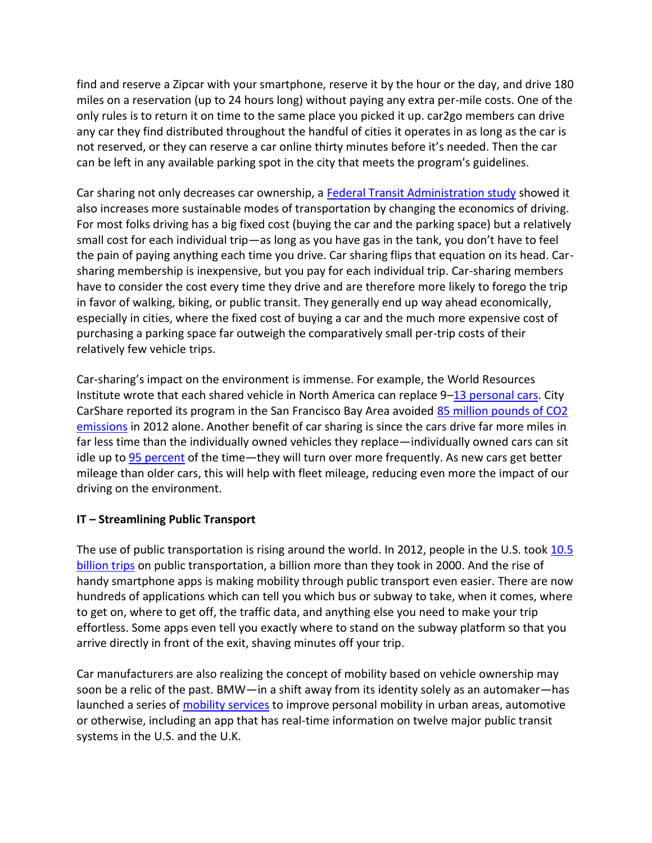find and reserve a Zipcar with your smartphone, reserve it by the hour or the day, and drive 180 miles on a reservation (up to 24 hours long) without paying any extra per-mile costs. One of the only rules is to return it on time to the same place you picked it up. car2go members can drive any car they find distributed throughout the handful of cities it operates in as long as the car is not reserved, or they can reserve a car online thirty minutes before it's needed. Then the car can be left in any available parking spot in the city that meets the program's guidelines.

Car sharing not only decreases car ownership, a [Federal Transit Administration study](http://onlinepubs.trb.org/onlinepubs/tcrp/tcrp_rpt_108.pdf) showed it also increases more sustainable modes of transportation by changing the economics of driving. For most folks driving has a big fixed cost (buying the car and the parking space) but a relatively small cost for each individual trip—as long as you have gas in the tank, you don't have to feel the pain of paying anything each time you drive. Car sharing flips that equation on its head. Carsharing membership is inexpensive, but you pay for each individual trip. Car-sharing members have to consider the cost every time they drive and are therefore more likely to forego the trip in favor of walking, biking, or public transit. They generally end up way ahead economically, especially in cities, where the fixed cost of buying a car and the much more expensive cost of purchasing a parking space far outweigh the comparatively small per-trip costs of their relatively few vehicle trips.

Car-sharing's impact on the environment is immense. For example, the World Resources Institute wrote that each shared vehicle in North America can replace 9–[13 personal cars.](http://insights.wri.org/news/2013/01/zipcars-purchase-avis-car-sharing-success-or-failure) City CarShare reported its program in the San Francisco Bay Area avoided [85 million pounds of CO2](http://ireport.cnn.com/docs/DOC-962580)  [emissions](http://ireport.cnn.com/docs/DOC-962580) in 2012 alone. Another benefit of car sharing is since the cars drive far more miles in far less time than the individually owned vehicles they replace—individually owned cars can sit idle up to [95 percent](http://insights.wri.org/news/2013/01/zipcars-purchase-avis-car-sharing-success-or-failure) of the time—they will turn over more frequently. As new cars get better mileage than older cars, this will help with fleet mileage, reducing even more the impact of our driving on the environment.

## **IT – Streamlining Public Transport**

The use of public transportation is rising around the world. In 2012, people in the U.S. took 10.5 [billion trips](http://www.apta.com/mediacenter/pressreleases/2013/Pages/130311_Ridership.aspx) on public transportation, a billion more than they took in 2000. And the rise of handy smartphone apps is making mobility through public transport even easier. There are now hundreds of applications which can tell you which bus or subway to take, when it comes, where to get on, where to get off, the traffic data, and anything else you need to make your trip effortless. Some apps even tell you exactly where to stand on the subway platform so that you arrive directly in front of the exit, shaving minutes off your trip.

Car manufacturers are also realizing the concept of mobility based on vehicle ownership may soon be a relic of the past. BMW—in a shift away from its identity solely as an automaker—has launched a series of [mobility services](http://www.bmw-i.com/en_ww/mobility-services/) to improve personal mobility in urban areas, automotive or otherwise, including an app that has real-time information on twelve major public transit systems in the U.S. and the U.K.